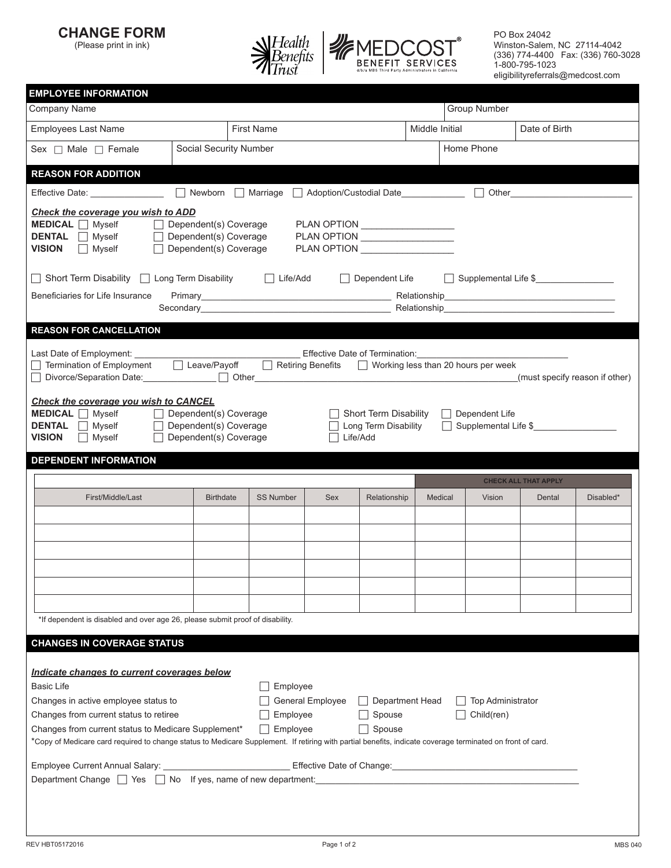**CHANGE FORM**

(Please print in ink)



PO Box 24042 Winston-Salem, NC 27114-4042 (336) 774-4400 Fax: (336) 760-3028 1-800-795-1023 eligibilityreferrals@medcost.com

| <b>EMPLOYEE INFORMATION</b>                                                                                                                                                                                                    |                                                                                              |                   |                  |                                                           |                |                                                                                                                                                                                                                                |                             |                                |
|--------------------------------------------------------------------------------------------------------------------------------------------------------------------------------------------------------------------------------|----------------------------------------------------------------------------------------------|-------------------|------------------|-----------------------------------------------------------|----------------|--------------------------------------------------------------------------------------------------------------------------------------------------------------------------------------------------------------------------------|-----------------------------|--------------------------------|
| Company Name                                                                                                                                                                                                                   |                                                                                              |                   |                  |                                                           |                | Group Number                                                                                                                                                                                                                   |                             |                                |
| <b>Employees Last Name</b>                                                                                                                                                                                                     |                                                                                              | <b>First Name</b> |                  |                                                           | Middle Initial |                                                                                                                                                                                                                                | Date of Birth               |                                |
| Sex $\Box$ Male $\Box$ Female                                                                                                                                                                                                  | Social Security Number                                                                       |                   |                  |                                                           |                | Home Phone                                                                                                                                                                                                                     |                             |                                |
| <b>REASON FOR ADDITION</b>                                                                                                                                                                                                     |                                                                                              |                   |                  |                                                           |                |                                                                                                                                                                                                                                |                             |                                |
| Effective Date: <b>Effective</b> Date:                                                                                                                                                                                         | Newborn Marriage Adoption/Custodial Date                                                     |                   |                  |                                                           |                |                                                                                                                                                                                                                                |                             |                                |
| Check the coverage you wish to ADD<br>$MEDICAL \n\bigcap \text{Myself}$<br>DENTAL Nyself<br><b>VISION</b><br>$\Box$ Myself                                                                                                     | $\Box$ Dependent(s) Coverage<br>$\Box$ Dependent(s) Coverage<br>$\Box$ Dependent(s) Coverage |                   |                  |                                                           |                |                                                                                                                                                                                                                                |                             |                                |
| $\Box$ Short Term Disability $\Box$ Long Term Disability                                                                                                                                                                       |                                                                                              | Life/Add          |                  | $\Box$ Dependent Life                                     |                | Supplemental Life \$                                                                                                                                                                                                           |                             |                                |
| Beneficiaries for Life Insurance                                                                                                                                                                                               |                                                                                              |                   |                  |                                                           |                |                                                                                                                                                                                                                                |                             |                                |
|                                                                                                                                                                                                                                |                                                                                              |                   |                  |                                                           |                | Secondary experience in the contract of the Relationship Prediction and the contract of the contract of the contract of the contract of the contract of the contract of the contract of the contract of the contract of the co |                             |                                |
| <b>REASON FOR CANCELLATION</b>                                                                                                                                                                                                 |                                                                                              |                   |                  |                                                           |                |                                                                                                                                                                                                                                |                             |                                |
| Termination of Employment                                                                                                                                                                                                      | $\Box$ Leave/Payoff                                                                          |                   |                  |                                                           |                | $\Box$ Retiring Benefits $\Box$ Working less than 20 hours per week                                                                                                                                                            |                             | (must specify reason if other) |
| Check the coverage you wish to CANCEL<br>$MEDICAL \n\bigcap$ Myself<br>DENTAL Myself<br><b>VISION</b><br>$\Box$ Myself                                                                                                         | $\Box$ Dependent(s) Coverage<br>$\Box$ Dependent(s) Coverage<br>$\Box$ Dependent(s) Coverage |                   |                  | Short Term Disability<br>Long Term Disability<br>Life/Add |                | Dependent Life<br>$\perp$                                                                                                                                                                                                      | Supplemental Life \$        |                                |
|                                                                                                                                                                                                                                |                                                                                              |                   |                  |                                                           |                |                                                                                                                                                                                                                                |                             |                                |
| <b>DEPENDENT INFORMATION</b>                                                                                                                                                                                                   |                                                                                              |                   |                  |                                                           |                |                                                                                                                                                                                                                                |                             |                                |
|                                                                                                                                                                                                                                |                                                                                              |                   |                  |                                                           |                |                                                                                                                                                                                                                                | <b>CHECK ALL THAT APPLY</b> |                                |
| First/Middle/Last                                                                                                                                                                                                              | <b>Birthdate</b>                                                                             | <b>SS Number</b>  | <b>Sex</b>       | Relationship                                              | Medical        | Vision                                                                                                                                                                                                                         | Dental                      | Disabled*                      |
|                                                                                                                                                                                                                                |                                                                                              |                   |                  |                                                           |                |                                                                                                                                                                                                                                |                             |                                |
|                                                                                                                                                                                                                                |                                                                                              |                   |                  |                                                           |                |                                                                                                                                                                                                                                |                             |                                |
|                                                                                                                                                                                                                                |                                                                                              |                   |                  |                                                           |                |                                                                                                                                                                                                                                |                             |                                |
|                                                                                                                                                                                                                                |                                                                                              |                   |                  |                                                           |                |                                                                                                                                                                                                                                |                             |                                |
|                                                                                                                                                                                                                                |                                                                                              |                   |                  |                                                           |                |                                                                                                                                                                                                                                |                             |                                |
| *If dependent is disabled and over age 26, please submit proof of disability.                                                                                                                                                  |                                                                                              |                   |                  |                                                           |                |                                                                                                                                                                                                                                |                             |                                |
| <b>CHANGES IN COVERAGE STATUS</b>                                                                                                                                                                                              |                                                                                              |                   |                  |                                                           |                |                                                                                                                                                                                                                                |                             |                                |
|                                                                                                                                                                                                                                |                                                                                              |                   |                  |                                                           |                |                                                                                                                                                                                                                                |                             |                                |
| Indicate changes to current coverages below                                                                                                                                                                                    |                                                                                              |                   |                  |                                                           |                |                                                                                                                                                                                                                                |                             |                                |
| Basic Life                                                                                                                                                                                                                     |                                                                                              | Employee          |                  | $\Box$ Department Head                                    |                | <b>Top Administrator</b>                                                                                                                                                                                                       |                             |                                |
| Changes in active employee status to<br>Changes from current status to retiree                                                                                                                                                 |                                                                                              | Employee          | General Employee | Spouse                                                    |                | Child(ren)                                                                                                                                                                                                                     |                             |                                |
| Changes from current status to Medicare Supplement*<br>*Copy of Medicare card required to change status to Medicare Supplement. If retiring with partial benefits, indicate coverage terminated on front of card.              |                                                                                              | Employee          |                  | Spouse                                                    |                |                                                                                                                                                                                                                                |                             |                                |
|                                                                                                                                                                                                                                |                                                                                              |                   |                  |                                                           |                |                                                                                                                                                                                                                                |                             |                                |
| Effective Date of Change: Current Annual Salary: Contract Date of Change: Current Annual Salary: Current Annual Salary: Current Annual Salary: Current Annual Salary: Current Annual Salary: Current Annual Salary: Current An |                                                                                              |                   |                  |                                                           |                |                                                                                                                                                                                                                                |                             |                                |